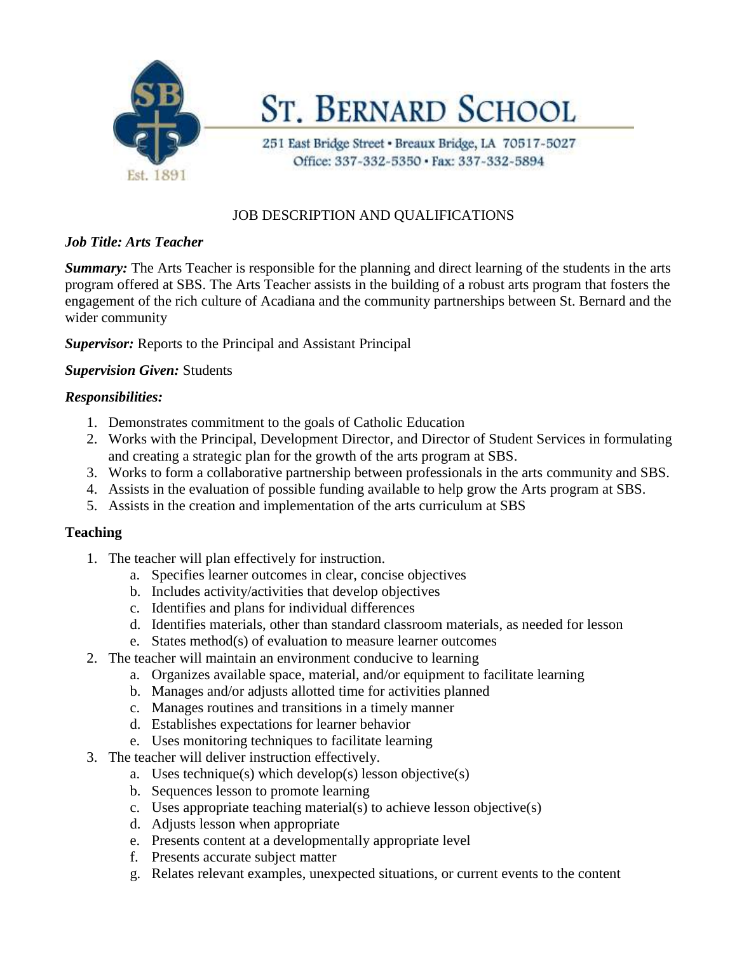

**ST. BERNARD SCHOOL** 

251 East Bridge Street · Breaux Bridge, LA 70517-5027 Office: 337-332-5350 · Fax: 337-332-5894

# JOB DESCRIPTION AND QUALIFICATIONS

## *Job Title: Arts Teacher*

*Summary:* The Arts Teacher is responsible for the planning and direct learning of the students in the arts program offered at SBS. The Arts Teacher assists in the building of a robust arts program that fosters the engagement of the rich culture of Acadiana and the community partnerships between St. Bernard and the wider community

*Supervisor:* Reports to the Principal and Assistant Principal

## *Supervision Given:* Students

## *Responsibilities:*

- 1. Demonstrates commitment to the goals of Catholic Education
- 2. Works with the Principal, Development Director, and Director of Student Services in formulating and creating a strategic plan for the growth of the arts program at SBS.
- 3. Works to form a collaborative partnership between professionals in the arts community and SBS.
- 4. Assists in the evaluation of possible funding available to help grow the Arts program at SBS.
- 5. Assists in the creation and implementation of the arts curriculum at SBS

#### **Teaching**

- 1. The teacher will plan effectively for instruction.
	- a. Specifies learner outcomes in clear, concise objectives
	- b. Includes activity/activities that develop objectives
	- c. Identifies and plans for individual differences
	- d. Identifies materials, other than standard classroom materials, as needed for lesson
	- e. States method(s) of evaluation to measure learner outcomes
- 2. The teacher will maintain an environment conducive to learning
	- a. Organizes available space, material, and/or equipment to facilitate learning
	- b. Manages and/or adjusts allotted time for activities planned
	- c. Manages routines and transitions in a timely manner
	- d. Establishes expectations for learner behavior
	- e. Uses monitoring techniques to facilitate learning
- 3. The teacher will deliver instruction effectively.
	- a. Uses technique(s) which develop(s) lesson objective(s)
	- b. Sequences lesson to promote learning
	- c. Uses appropriate teaching material(s) to achieve lesson objective(s)
	- d. Adjusts lesson when appropriate
	- e. Presents content at a developmentally appropriate level
	- f. Presents accurate subject matter
	- g. Relates relevant examples, unexpected situations, or current events to the content